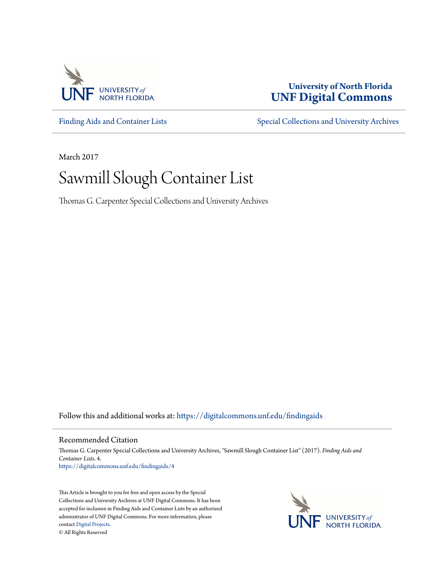

## **University of North Florida [UNF Digital Commons](https://digitalcommons.unf.edu?utm_source=digitalcommons.unf.edu%2Ffindingaids%2F4&utm_medium=PDF&utm_campaign=PDFCoverPages)**

[Finding Aids and Container Lists](https://digitalcommons.unf.edu/findingaids?utm_source=digitalcommons.unf.edu%2Ffindingaids%2F4&utm_medium=PDF&utm_campaign=PDFCoverPages) [Special Collections and University Archives](https://digitalcommons.unf.edu/spec_coll?utm_source=digitalcommons.unf.edu%2Ffindingaids%2F4&utm_medium=PDF&utm_campaign=PDFCoverPages)

March 2017

## Sawmill Slough Container List

Thomas G. Carpenter Special Collections and University Archives

Follow this and additional works at: [https://digitalcommons.unf.edu/findingaids](https://digitalcommons.unf.edu/findingaids?utm_source=digitalcommons.unf.edu%2Ffindingaids%2F4&utm_medium=PDF&utm_campaign=PDFCoverPages)

## Recommended Citation

Thomas G. Carpenter Special Collections and University Archives, "Sawmill Slough Container List" (2017). *Finding Aids and Container Lists*. 4. [https://digitalcommons.unf.edu/findingaids/4](https://digitalcommons.unf.edu/findingaids/4?utm_source=digitalcommons.unf.edu%2Ffindingaids%2F4&utm_medium=PDF&utm_campaign=PDFCoverPages)

This Article is brought to you for free and open access by the Special Collections and University Archives at UNF Digital Commons. It has been accepted for inclusion in Finding Aids and Container Lists by an authorized administrator of UNF Digital Commons. For more information, please contact [Digital Projects.](mailto:lib-digital@unf.edu) © All Rights Reserved

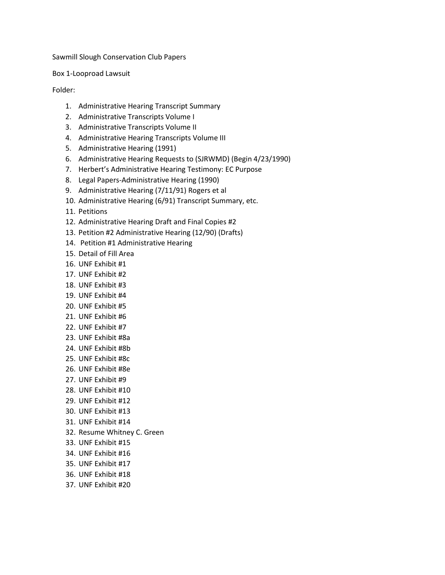Box 1-Looproad Lawsuit

Folder:

- 1. Administrative Hearing Transcript Summary
- 2. Administrative Transcripts Volume I
- 3. Administrative Transcripts Volume II
- 4. Administrative Hearing Transcripts Volume III
- 5. Administrative Hearing (1991)
- 6. Administrative Hearing Requests to (SJRWMD) (Begin 4/23/1990)
- 7. Herbert's Administrative Hearing Testimony: EC Purpose
- 8. Legal Papers-Administrative Hearing (1990)
- 9. Administrative Hearing (7/11/91) Rogers et al
- 10. Administrative Hearing (6/91) Transcript Summary, etc.
- 11. Petitions
- 12. Administrative Hearing Draft and Final Copies #2
- 13. Petition #2 Administrative Hearing (12/90) (Drafts)
- 14. Petition #1 Administrative Hearing
- 15. Detail of Fill Area
- 16. UNF Exhibit #1
- 17. UNF Exhibit #2
- 18. UNF Exhibit #3
- 19. UNF Exhibit #4
- 20. UNF Exhibit #5
- 21. UNF Exhibit #6
- 22. UNF Exhibit #7
- 23. UNF Exhibit #8a
- 24. UNF Exhibit #8b
- 25. UNF Exhibit #8c
- 26. UNF Exhibit #8e
- 27. UNF Exhibit #9
- 28. UNF Exhibit #10
- 29. UNF Exhibit #12
- 30. UNF Exhibit #13
- 31. UNF Exhibit #14
- 
- 32. Resume Whitney C. Green
- 33. UNF Exhibit #15
- 34. UNF Exhibit #16
- 35. UNF Exhibit #17
- 36. UNF Exhibit #18
- 37. UNF Exhibit #20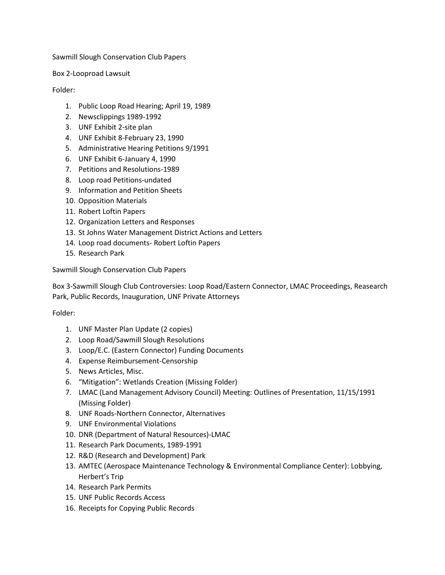Box 2-Looproad Lawsuit

Folder:

- 1. Public Loop Road Hearing; April 19, 1989
- 2. Newsclippings 1989-1992
- 3. UNF Exhibit 2-site plan
- 4. UNF Exhibit 8-February 23, 1990
- 5. Administrative Hearing Petitions 9/1991
- 6. UNF Exhibit 6-January 4, 1990
- 7. Petitions and Resolutions-1989
- 8. Loop road Petitions-undated
- 9. Information and Petition Sheets
- 10. Opposition Materials
- 11. Robert Loftin Papers
- 12. Organization Letters and Responses
- 13. St Johns Water Management District Actions and Letters
- 14. Loop road documents- Robert Loftin Papers
- 15. Research Park

Sawmill Slough Conservation Club Papers

Box 3-Sawmill Slough Club Controversies: Loop Road/Eastern Connector, LMAC Proceedings, Reasearch Park, Public Records, Inauguration, UNF Private Attorneys

Folder:

- 1. UNF Master Plan Update (2 copies)
- 2. Loop Road/Sawmill Slough Resolutions
- 3. Loop/E.C. (Eastern Connector) Funding Documents
- 4. Expense Reimbursement-Censorship
- 5. News Articles, Misc.
- 6. "Mitigation": Wetlands Creation (Missing Folder)
- 7. LMAC (Land Management Advisory Council) Meeting: Outlines of Presentation, 11/15/1991 (Missing Folder)
- 8. UNF Roads-Northern Connector, Alternatives
- 9. UNF Environmental Violations
- 10. DNR (Department of Natural Resources)-LMAC
- 11. Research Park Documents, 1989-1991
- 12. R&D (Research and Development) Park
- 13. AMTEC (Aerospace Maintenance Technology & Environmental Compliance Center): Lobbying, Herbert's Trip
- 14. Research Park Permits
- 15. UNF Public Records Access
- 16. Receipts for Copying Public Records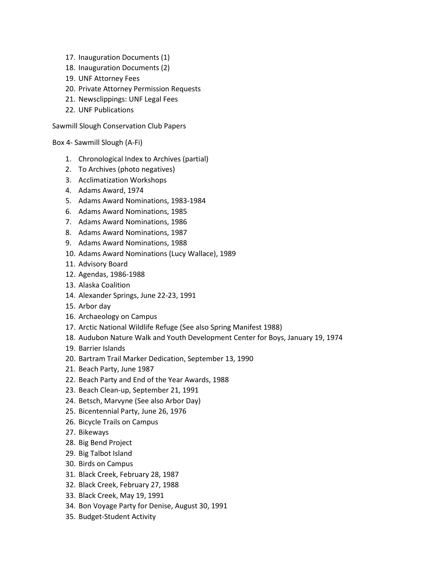- 17. Inauguration Documents (1)
- 18. Inauguration Documents (2)
- 19. UNF Attorney Fees
- 20. Private Attorney Permission Requests
- 21. Newsclippings: UNF Legal Fees
- 22. UNF Publications

Box 4- Sawmill Slough (A-Fi)

- 1. Chronological Index to Archives (partial)
- 2. To Archives (photo negatives)
- 3. Acclimatization Workshops
- 4. Adams Award, 1974
- 5. Adams Award Nominations, 1983-1984
- 6. Adams Award Nominations, 1985
- 7. Adams Award Nominations, 1986
- 8. Adams Award Nominations, 1987
- 9. Adams Award Nominations, 1988
- 10. Adams Award Nominations (Lucy Wallace), 1989
- 11. Advisory Board
- 12. Agendas, 1986-1988
- 13. Alaska Coalition
- 14. Alexander Springs, June 22-23, 1991
- 15. Arbor day
- 16. Archaeology on Campus
- 17. Arctic National Wildlife Refuge (See also Spring Manifest 1988)
- 18. Audubon Nature Walk and Youth Development Center for Boys, January 19, 1974
- 19. Barrier Islands
- 20. Bartram Trail Marker Dedication, September 13, 1990
- 21. Beach Party, June 1987
- 22. Beach Party and End of the Year Awards, 1988
- 23. Beach Clean-up, September 21, 1991
- 24. Betsch, Marvyne (See also Arbor Day)
- 25. Bicentennial Party, June 26, 1976
- 26. Bicycle Trails on Campus
- 27. Bikeways
- 28. Big Bend Project
- 29. Big Talbot Island
- 30. Birds on Campus
- 31. Black Creek, February 28, 1987
- 32. Black Creek, February 27, 1988
- 33. Black Creek, May 19, 1991
- 34. Bon Voyage Party for Denise, August 30, 1991
- 35. Budget-Student Activity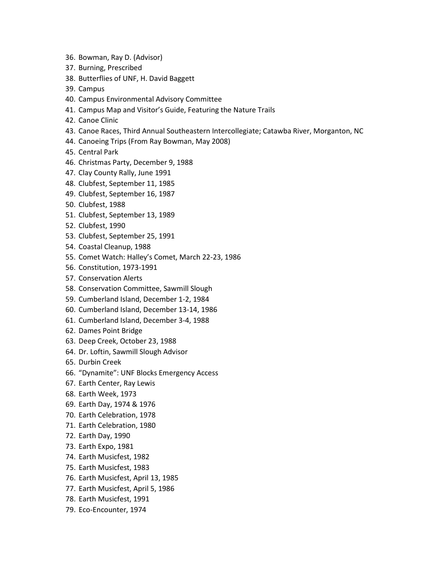- 36. Bowman, Ray D. (Advisor)
- 37. Burning, Prescribed
- 38. Butterflies of UNF, H. David Baggett
- 39. Campus
- 40. Campus Environmental Advisory Committee
- 41. Campus Map and Visitor's Guide, Featuring the Nature Trails
- 42. Canoe Clinic
- 43. Canoe Races, Third Annual Southeastern Intercollegiate; Catawba River, Morganton, NC
- 44. Canoeing Trips (From Ray Bowman, May 2008)
- 45. Central Park
- 46. Christmas Party, December 9, 1988
- 47. Clay County Rally, June 1991
- 48. Clubfest, September 11, 1985
- 49. Clubfest, September 16, 1987
- 50. Clubfest, 1988
- 51. Clubfest, September 13, 1989
- 52. Clubfest, 1990
- 53. Clubfest, September 25, 1991
- 54. Coastal Cleanup, 1988
- 55. Comet Watch: Halley's Comet, March 22-23, 1986
- 56. Constitution, 1973-1991
- 57. Conservation Alerts
- 58. Conservation Committee, Sawmill Slough
- 59. Cumberland Island, December 1-2, 1984
- 60. Cumberland Island, December 13-14, 1986
- 61. Cumberland Island, December 3-4, 1988
- 62. Dames Point Bridge
- 63. Deep Creek, October 23, 1988
- 64. Dr. Loftin, Sawmill Slough Advisor
- 65. Durbin Creek
- 66. "Dynamite": UNF Blocks Emergency Access
- 67. Earth Center, Ray Lewis
- 68. Earth Week, 1973
- 69. Earth Day, 1974 & 1976
- 70. Earth Celebration, 1978
- 71. Earth Celebration, 1980
- 72. Earth Day, 1990
- 73. Earth Expo, 1981
- 74. Earth Musicfest, 1982
- 75. Earth Musicfest, 1983
- 76. Earth Musicfest, April 13, 1985
- 77. Earth Musicfest, April 5, 1986
- 78. Earth Musicfest, 1991
- 79. Eco-Encounter, 1974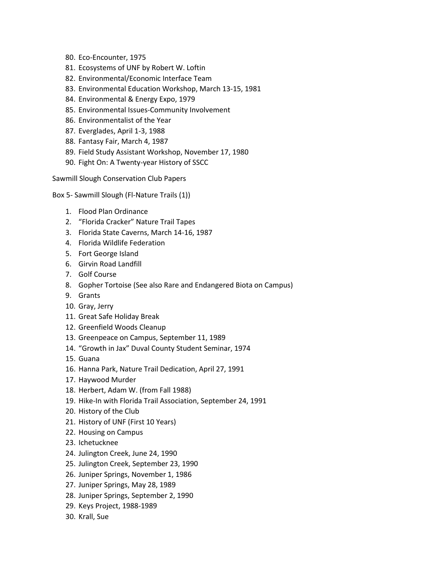- 80. Eco-Encounter, 1975
- 81. Ecosystems of UNF by Robert W. Loftin
- 82. Environmental/Economic Interface Team
- 83. Environmental Education Workshop, March 13-15, 1981
- 84. Environmental & Energy Expo, 1979
- 85. Environmental Issues-Community Involvement
- 86. Environmentalist of the Year
- 87. Everglades, April 1-3, 1988
- 88. Fantasy Fair, March 4, 1987
- 89. Field Study Assistant Workshop, November 17, 1980
- 90. Fight On: A Twenty-year History of SSCC

- Box 5- Sawmill Slough (Fl-Nature Trails (1))
	- 1. Flood Plan Ordinance
	- 2. "Florida Cracker" Nature Trail Tapes
	- 3. Florida State Caverns, March 14-16, 1987
	- 4. Florida Wildlife Federation
	- 5. Fort George Island
	- 6. Girvin Road Landfill
	- 7. Golf Course
	- 8. Gopher Tortoise (See also Rare and Endangered Biota on Campus)
	- 9. Grants
	- 10. Gray, Jerry
	- 11. Great Safe Holiday Break
	- 12. Greenfield Woods Cleanup
	- 13. Greenpeace on Campus, September 11, 1989
	- 14. "Growth in Jax" Duval County Student Seminar, 1974
	- 15. Guana
	- 16. Hanna Park, Nature Trail Dedication, April 27, 1991
	- 17. Haywood Murder
	- 18. Herbert, Adam W. (from Fall 1988)
	- 19. Hike-In with Florida Trail Association, September 24, 1991
	- 20. History of the Club
	- 21. History of UNF (First 10 Years)
	- 22. Housing on Campus
	- 23. Ichetucknee
	- 24. Julington Creek, June 24, 1990
	- 25. Julington Creek, September 23, 1990
	- 26. Juniper Springs, November 1, 1986
	- 27. Juniper Springs, May 28, 1989
	- 28. Juniper Springs, September 2, 1990
	- 29. Keys Project, 1988-1989
	- 30. Krall, Sue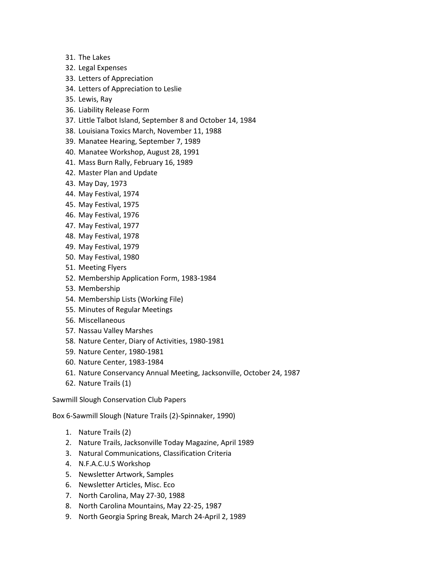- 31. The Lakes
- 32. Legal Expenses
- 33. Letters of Appreciation
- 34. Letters of Appreciation to Leslie
- 35. Lewis, Ray
- 36. Liability Release Form
- 37. Little Talbot Island, September 8 and October 14, 1984
- 38. Louisiana Toxics March, November 11, 1988
- 39. Manatee Hearing, September 7, 1989
- 40. Manatee Workshop, August 28, 1991
- 41. Mass Burn Rally, February 16, 1989
- 42. Master Plan and Update
- 43. May Day, 1973
- 44. May Festival, 1974
- 45. May Festival, 1975
- 46. May Festival, 1976
- 47. May Festival, 1977
- 48. May Festival, 1978
- 49. May Festival, 1979
- 50. May Festival, 1980
- 51. Meeting Flyers
- 52. Membership Application Form, 1983-1984
- 53. Membership
- 54. Membership Lists (Working File)
- 55. Minutes of Regular Meetings
- 56. Miscellaneous
- 57. Nassau Valley Marshes
- 58. Nature Center, Diary of Activities, 1980-1981
- 59. Nature Center, 1980-1981
- 60. Nature Center, 1983-1984
- 61. Nature Conservancy Annual Meeting, Jacksonville, October 24, 1987
- 62. Nature Trails (1)

Box 6-Sawmill Slough (Nature Trails (2)-Spinnaker, 1990)

- 1. Nature Trails (2)
- 2. Nature Trails, Jacksonville Today Magazine, April 1989
- 3. Natural Communications, Classification Criteria
- 4. N.F.A.C.U.S Workshop
- 5. Newsletter Artwork, Samples
- 6. Newsletter Articles, Misc. Eco
- 7. North Carolina, May 27-30, 1988
- 8. North Carolina Mountains, May 22-25, 1987
- 9. North Georgia Spring Break, March 24-April 2, 1989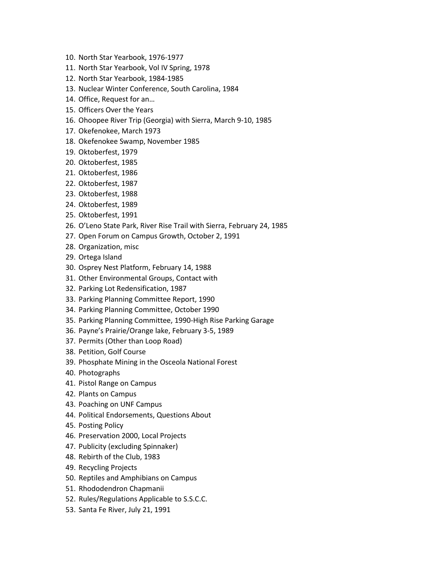- 10. North Star Yearbook, 1976-1977
- 11. North Star Yearbook, Vol IV Spring, 1978
- 12. North Star Yearbook, 1984-1985
- 13. Nuclear Winter Conference, South Carolina, 1984
- 14. Office, Request for an…
- 15. Officers Over the Years
- 16. Ohoopee River Trip (Georgia) with Sierra, March 9-10, 1985
- 17. Okefenokee, March 1973
- 18. Okefenokee Swamp, November 1985
- 19. Oktoberfest, 1979
- 20. Oktoberfest, 1985
- 21. Oktoberfest, 1986
- 22. Oktoberfest, 1987
- 23. Oktoberfest, 1988
- 24. Oktoberfest, 1989
- 25. Oktoberfest, 1991
- 26. O'Leno State Park, River Rise Trail with Sierra, February 24, 1985
- 27. Open Forum on Campus Growth, October 2, 1991
- 28. Organization, misc
- 29. Ortega Island
- 30. Osprey Nest Platform, February 14, 1988
- 31. Other Environmental Groups, Contact with
- 32. Parking Lot Redensification, 1987
- 33. Parking Planning Committee Report, 1990
- 34. Parking Planning Committee, October 1990
- 35. Parking Planning Committee, 1990-High Rise Parking Garage
- 36. Payne's Prairie/Orange lake, February 3-5, 1989
- 37. Permits (Other than Loop Road)
- 38. Petition, Golf Course
- 39. Phosphate Mining in the Osceola National Forest
- 40. Photographs
- 41. Pistol Range on Campus
- 42. Plants on Campus
- 43. Poaching on UNF Campus
- 44. Political Endorsements, Questions About
- 45. Posting Policy
- 46. Preservation 2000, Local Projects
- 47. Publicity (excluding Spinnaker)
- 48. Rebirth of the Club, 1983
- 49. Recycling Projects
- 50. Reptiles and Amphibians on Campus
- 51. Rhododendron Chapmanii
- 52. Rules/Regulations Applicable to S.S.C.C.
- 53. Santa Fe River, July 21, 1991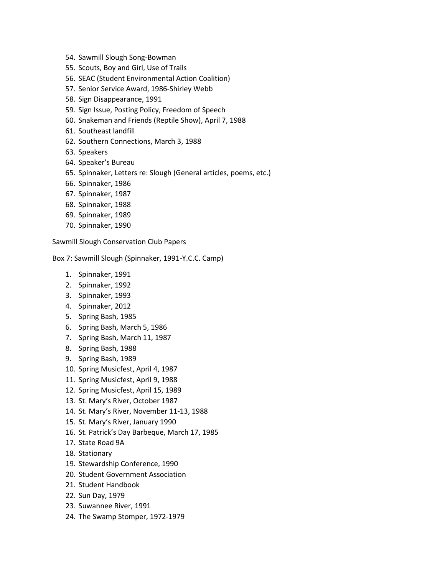- 54. Sawmill Slough Song-Bowman
- 55. Scouts, Boy and Girl, Use of Trails
- 56. SEAC (Student Environmental Action Coalition)
- 57. Senior Service Award, 1986-Shirley Webb
- 58. Sign Disappearance, 1991
- 59. Sign Issue, Posting Policy, Freedom of Speech
- 60. Snakeman and Friends (Reptile Show), April 7, 1988
- 61. Southeast landfill
- 62. Southern Connections, March 3, 1988
- 63. Speakers
- 64. Speaker's Bureau
- 65. Spinnaker, Letters re: Slough (General articles, poems, etc.)
- 66. Spinnaker, 1986
- 67. Spinnaker, 1987
- 68. Spinnaker, 1988
- 69. Spinnaker, 1989
- 70. Spinnaker, 1990

Box 7: Sawmill Slough (Spinnaker, 1991-Y.C.C. Camp)

- 1. Spinnaker, 1991
- 2. Spinnaker, 1992
- 3. Spinnaker, 1993
- 4. Spinnaker, 2012
- 5. Spring Bash, 1985
- 6. Spring Bash, March 5, 1986
- 7. Spring Bash, March 11, 1987
- 8. Spring Bash, 1988
- 9. Spring Bash, 1989
- 10. Spring Musicfest, April 4, 1987
- 11. Spring Musicfest, April 9, 1988
- 12. Spring Musicfest, April 15, 1989
- 13. St. Mary's River, October 1987
- 14. St. Mary's River, November 11-13, 1988
- 15. St. Mary's River, January 1990
- 16. St. Patrick's Day Barbeque, March 17, 1985
- 17. State Road 9A
- 18. Stationary
- 19. Stewardship Conference, 1990
- 20. Student Government Association
- 21. Student Handbook
- 22. Sun Day, 1979
- 23. Suwannee River, 1991
- 24. The Swamp Stomper, 1972-1979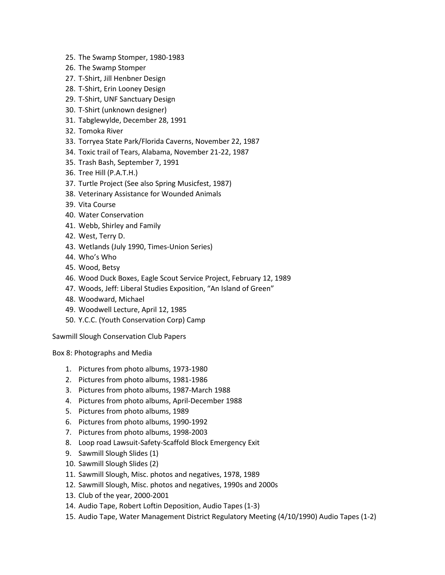- 25. The Swamp Stomper, 1980-1983
- 26. The Swamp Stomper
- 27. T-Shirt, Jill Henbner Design
- 28. T-Shirt, Erin Looney Design
- 29. T-Shirt, UNF Sanctuary Design
- 30. T-Shirt (unknown designer)
- 31. Tabglewylde, December 28, 1991
- 32. Tomoka River
- 33. Torryea State Park/Florida Caverns, November 22, 1987
- 34. Toxic trail of Tears, Alabama, November 21-22, 1987
- 35. Trash Bash, September 7, 1991
- 36. Tree Hill (P.A.T.H.)
- 37. Turtle Project (See also Spring Musicfest, 1987)
- 38. Veterinary Assistance for Wounded Animals
- 39. Vita Course
- 40. Water Conservation
- 41. Webb, Shirley and Family
- 42. West, Terry D.
- 43. Wetlands (July 1990, Times-Union Series)
- 44. Who's Who
- 45. Wood, Betsy
- 46. Wood Duck Boxes, Eagle Scout Service Project, February 12, 1989
- 47. Woods, Jeff: Liberal Studies Exposition, "An Island of Green"
- 48. Woodward, Michael
- 49. Woodwell Lecture, April 12, 1985
- 50. Y.C.C. (Youth Conservation Corp) Camp

Box 8: Photographs and Media

- 1. Pictures from photo albums, 1973-1980
- 2. Pictures from photo albums, 1981-1986
- 3. Pictures from photo albums, 1987-March 1988
- 4. Pictures from photo albums, April-December 1988
- 5. Pictures from photo albums, 1989
- 6. Pictures from photo albums, 1990-1992
- 7. Pictures from photo albums, 1998-2003
- 8. Loop road Lawsuit-Safety-Scaffold Block Emergency Exit
- 9. Sawmill Slough Slides (1)
- 10. Sawmill Slough Slides (2)
- 11. Sawmill Slough, Misc. photos and negatives, 1978, 1989
- 12. Sawmill Slough, Misc. photos and negatives, 1990s and 2000s
- 13. Club of the year, 2000-2001
- 14. Audio Tape, Robert Loftin Deposition, Audio Tapes (1-3)
- 15. Audio Tape, Water Management District Regulatory Meeting (4/10/1990) Audio Tapes (1-2)